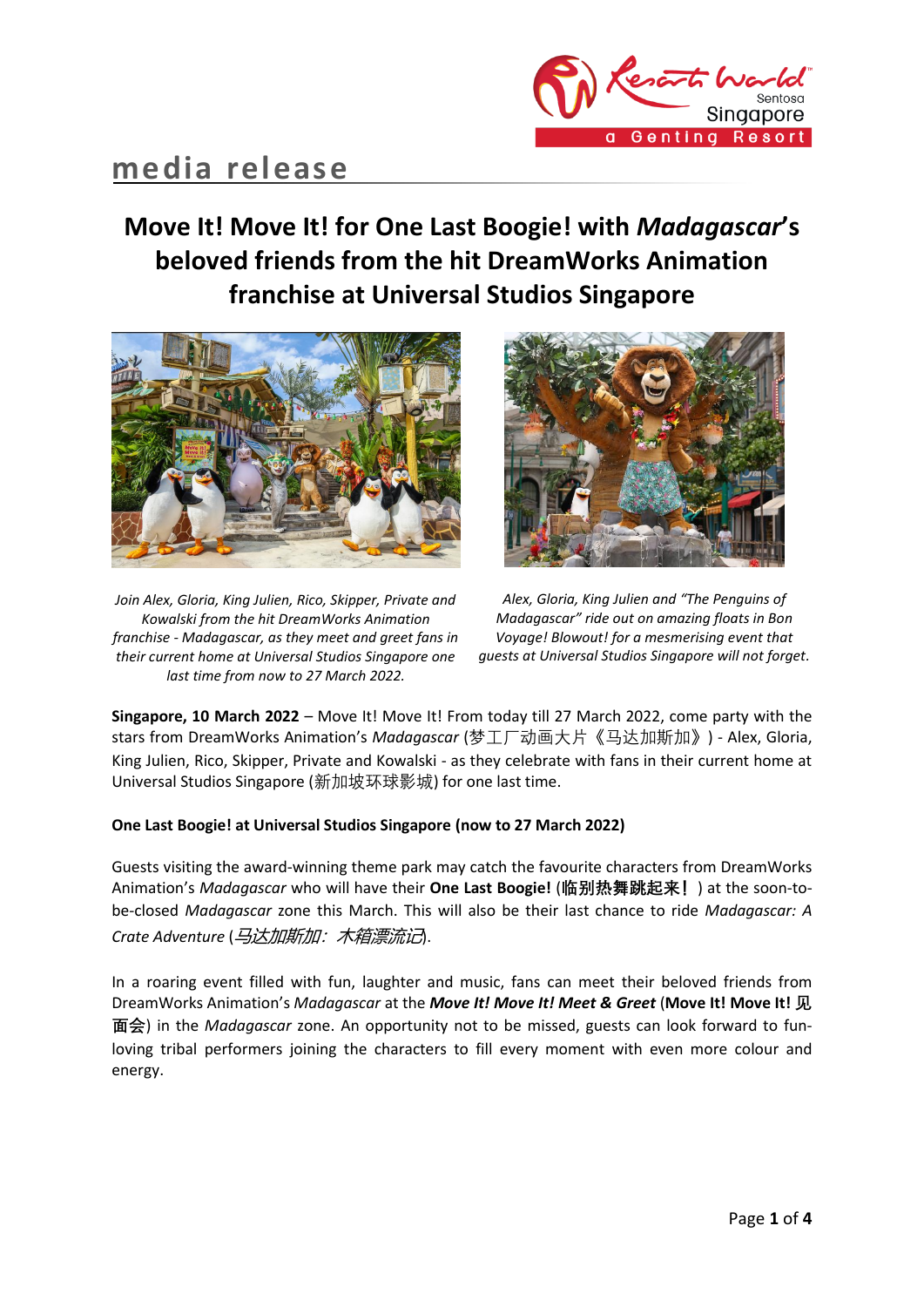

# **media release**

## **Move It! Move It! for One Last Boogie! with** *Madagascar***'s beloved friends from the hit DreamWorks Animation franchise at Universal Studios Singapore**



*Join Alex, Gloria, King Julien, Rico, Skipper, Private and Kowalski from the hit DreamWorks Animation franchise - Madagascar, as they meet and greet fans in their current home at Universal Studios Singapore one last time from now to 27 March 2022.*



*Alex, Gloria, King Julien and "The Penguins of Madagascar" ride out on amazing floats in Bon Voyage! Blowout! for a mesmerising event that guests at Universal Studios Singapore will not forget.*

**Singapore, 10 March 2022** – Move It! Move It! From today till 27 March 2022, come party with the stars from DreamWorks Animation's *Madagascar* (梦工厂动画大片《马达加斯加》) - Alex, Gloria, King Julien, Rico, Skipper, Private and Kowalski - as they celebrate with fans in their current home at Universal Studios Singapore (新加坡环球影城) for one last time.

## **One Last Boogie! at Universal Studios Singapore (now to 27 March 2022)**

Guests visiting the award-winning theme park may catch the favourite characters from DreamWorks Animation's *Madagascar* who will have their **One Last Boogie!** (**临别热舞跳起来!**) at the soon-tobe-closed *Madagascar* zone this March. This will also be their last chance to ride *Madagascar: A Crate Adventure* (马达加斯加:木箱漂流记).

In a roaring event filled with fun, laughter and music, fans can meet their beloved friends from DreamWorks Animation's *Madagascar* at the *Move It! Move It! Meet & Greet* (**Move It! Move It! 见 面会**) in the *Madagascar* zone. An opportunity not to be missed, guests can look forward to funloving tribal performers joining the characters to fill every moment with even more colour and energy.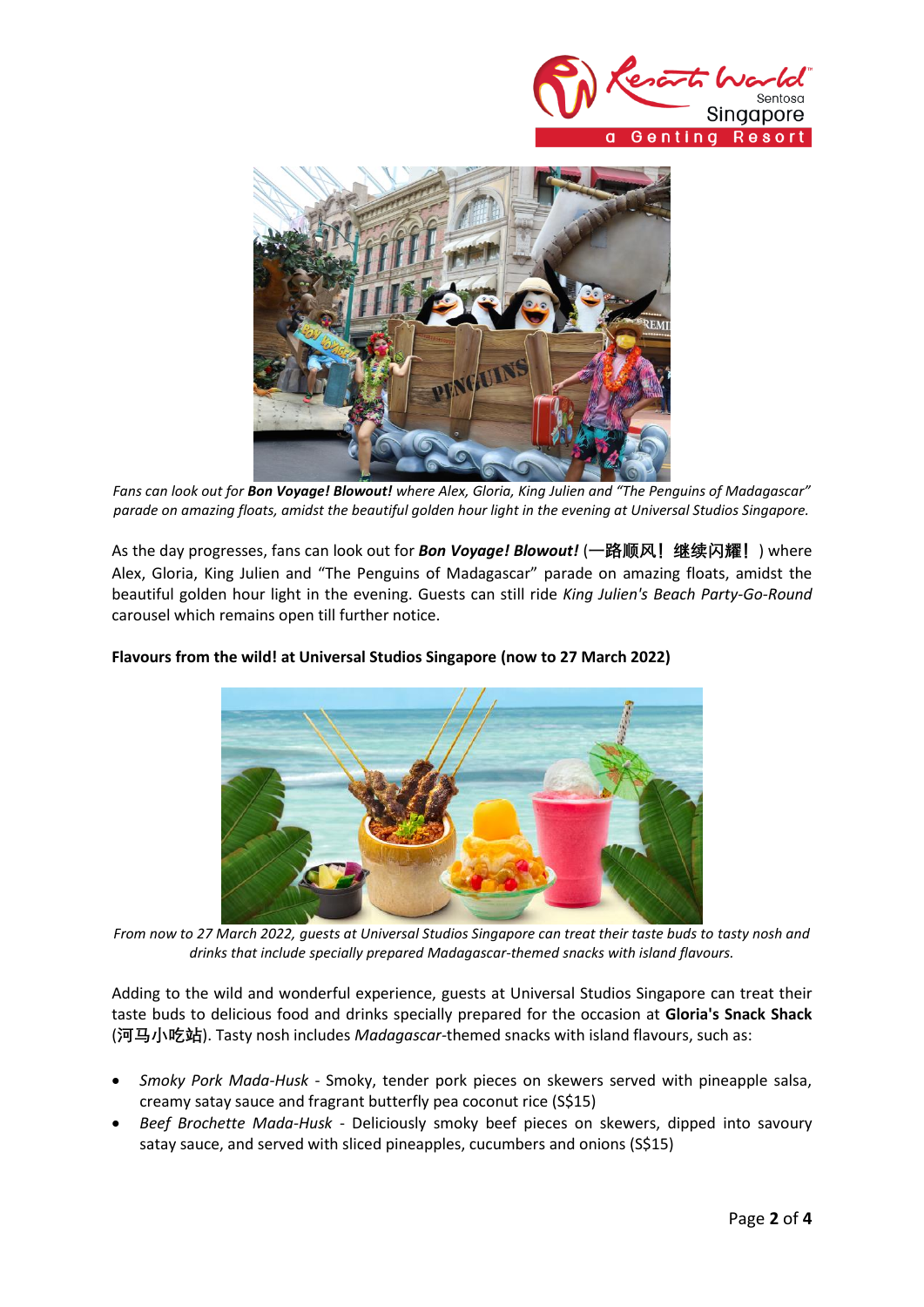



*Fans can look out for Bon Voyage! Blowout! where Alex, Gloria, King Julien and "The Penguins of Madagascar" parade on amazing floats, amidst the beautiful golden hour light in the evening at Universal Studios Singapore.*

As the day progresses, fans can look out for *Bon Voyage! Blowout!* (**一路顺风!继续闪耀!**) where Alex, Gloria, King Julien and "The Penguins of Madagascar" parade on amazing floats, amidst the beautiful golden hour light in the evening. Guests can still ride *King Julien's Beach Party-Go-Round* carousel which remains open till further notice.



## **Flavours from the wild! at Universal Studios Singapore (now to 27 March 2022)**

*From now to 27 March 2022, guests at Universal Studios Singapore can treat their taste buds to tasty nosh and drinks that include specially prepared Madagascar-themed snacks with island flavours.*

Adding to the wild and wonderful experience, guests at Universal Studios Singapore can treat their taste buds to delicious food and drinks specially prepared for the occasion at **Gloria's Snack Shack** (**河马小吃站**). Tasty nosh includes *Madagascar-*themed snacks with island flavours, such as:

- *Smoky Pork Mada-Husk* Smoky, tender pork pieces on skewers served with pineapple salsa, creamy satay sauce and fragrant butterfly pea coconut rice (S\$15)
- *Beef Brochette Mada-Husk* Deliciously smoky beef pieces on skewers, dipped into savoury satay sauce, and served with sliced pineapples, cucumbers and onions (S\$15)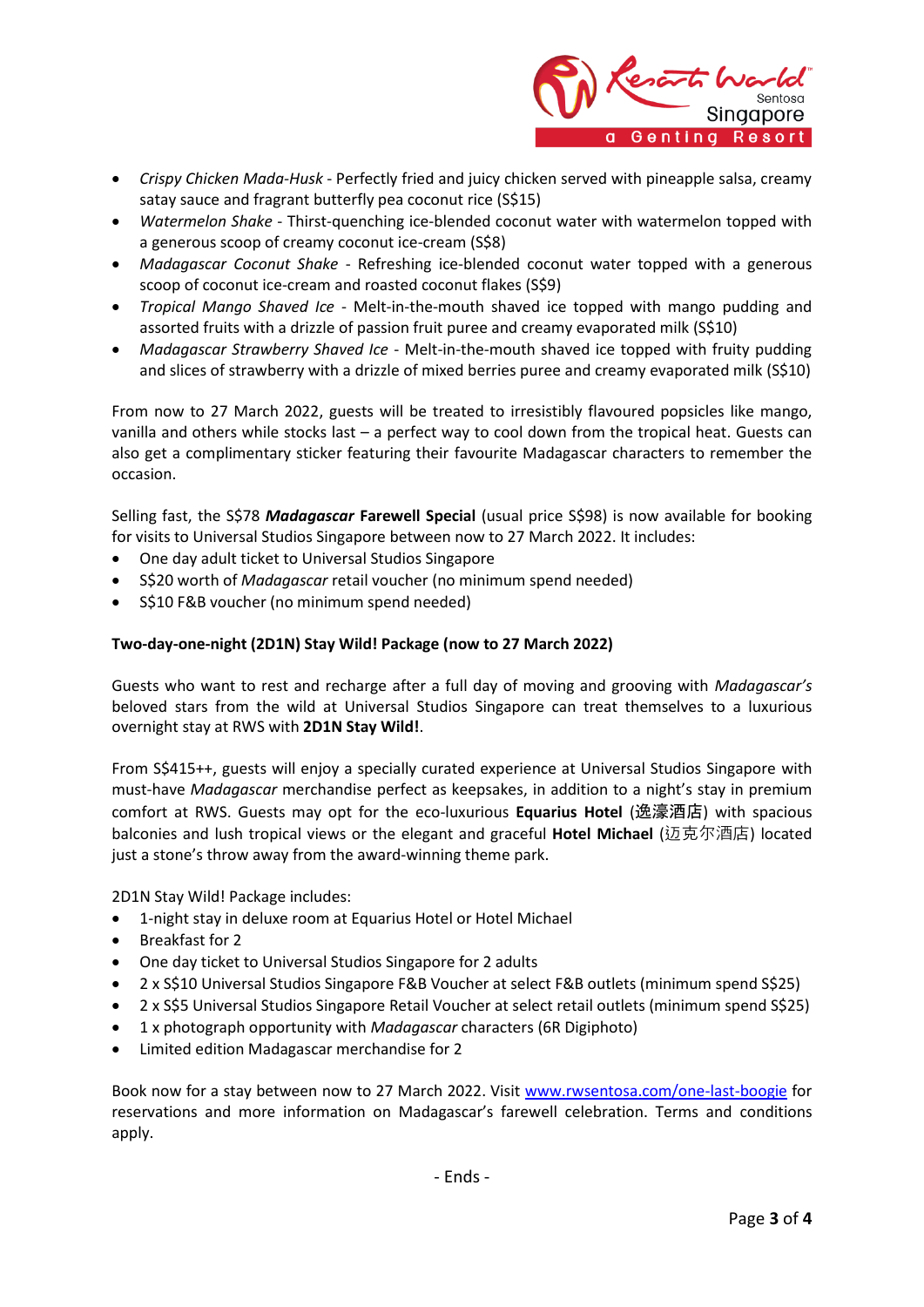

- *Crispy Chicken Mada-Husk* Perfectly fried and juicy chicken served with pineapple salsa, creamy satay sauce and fragrant butterfly pea coconut rice (S\$15)
- *Watermelon Shake* Thirst-quenching ice-blended coconut water with watermelon topped with a generous scoop of creamy coconut ice-cream (S\$8)
- *Madagascar Coconut Shake* Refreshing ice-blended coconut water topped with a generous scoop of coconut ice-cream and roasted coconut flakes (S\$9)
- *Tropical Mango Shaved Ice* Melt-in-the-mouth shaved ice topped with mango pudding and assorted fruits with a drizzle of passion fruit puree and creamy evaporated milk (S\$10)
- *Madagascar Strawberry Shaved Ice* Melt-in-the-mouth shaved ice topped with fruity pudding and slices of strawberry with a drizzle of mixed berries puree and creamy evaporated milk (S\$10)

From now to 27 March 2022, guests will be treated to irresistibly flavoured popsicles like mango, vanilla and others while stocks last – a perfect way to cool down from the tropical heat. Guests can also get a complimentary sticker featuring their favourite Madagascar characters to remember the occasion.

Selling fast, the S\$78 *Madagascar* **Farewell Special** (usual price S\$98) is now available for booking for visits to Universal Studios Singapore between now to 27 March 2022. It includes:

- One day adult ticket to Universal Studios Singapore
- S\$20 worth of *Madagascar* retail voucher (no minimum spend needed)
- S\$10 F&B voucher (no minimum spend needed)

## **Two-day-one-night (2D1N) Stay Wild! Package (now to 27 March 2022)**

Guests who want to rest and recharge after a full day of moving and grooving with *Madagascar's*  beloved stars from the wild at Universal Studios Singapore can treat themselves to a luxurious overnight stay at RWS with **2D1N Stay Wild!**.

From S\$415++, guests will enjoy a specially curated experience at Universal Studios Singapore with must-have *Madagascar* merchandise perfect as keepsakes, in addition to a night's stay in premium comfort at RWS. Guests may opt for the eco-luxurious **Equarius Hotel** (逸濠酒店) with spacious balconies and lush tropical views or the elegant and graceful **Hotel Michael** (迈克尔酒店) located just a stone's throw away from the award-winning theme park.

2D1N Stay Wild! Package includes:

- 1-night stay in deluxe room at Equarius Hotel or Hotel Michael
- Breakfast for 2
- One day ticket to Universal Studios Singapore for 2 adults
- 2 x S\$10 Universal Studios Singapore F&B Voucher at select F&B outlets (minimum spend S\$25)
- 2 x S\$5 Universal Studios Singapore Retail Voucher at select retail outlets (minimum spend S\$25)
- 1 x photograph opportunity with *Madagascar* characters (6R Digiphoto)
- Limited edition Madagascar merchandise for 2

Book now for a stay between now to 27 March 2022. Visit [www.rwsentosa.com/one-last-boogie](http://www.rwsentosa.com/one-last-boogie) for reservations and more information on Madagascar's farewell celebration. Terms and conditions apply.